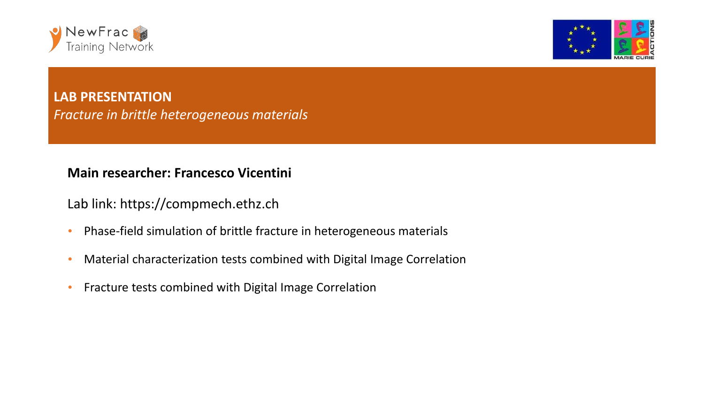



**LAB PRESENTATION** *Fracture in brittle heterogeneous materials*

## **Main researcher: Francesco Vicentini**

Lab link: https://compmech.ethz.ch

- Phase-field simulation of brittle fracture in heterogeneous materials
- Material characterization tests combined with Digital Image Correlation
- Fracture tests combined with Digital Image Correlation